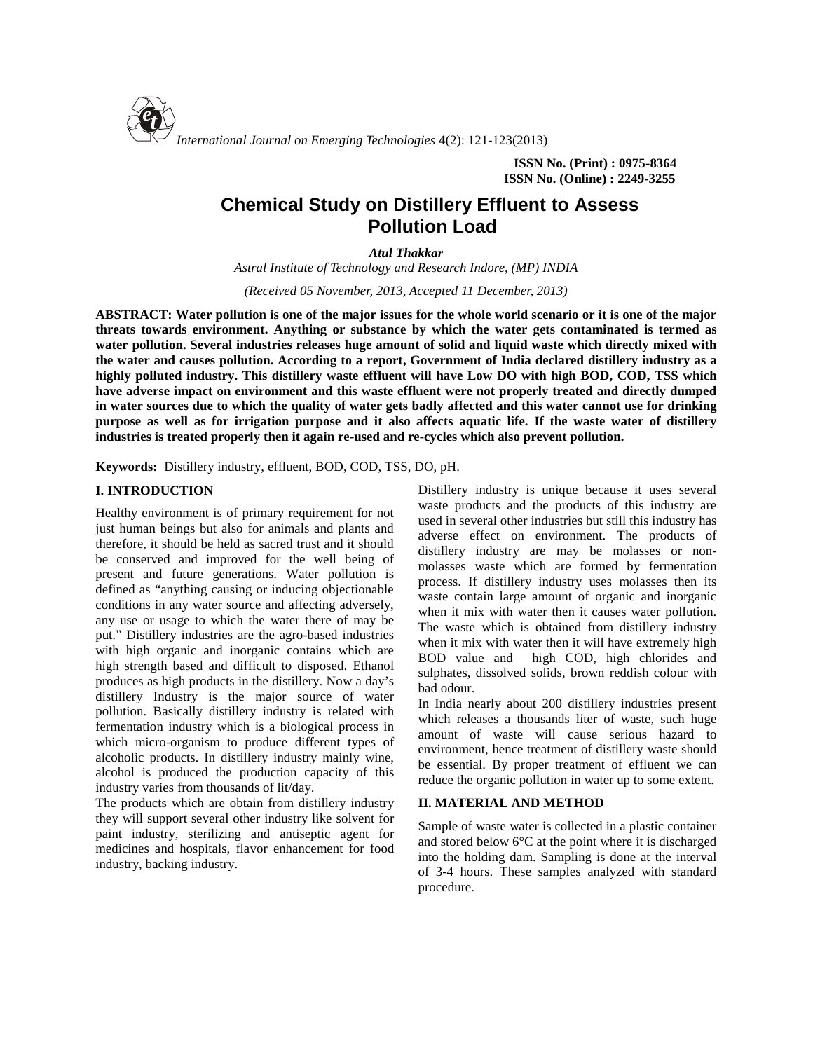

**ISSN No. (Print) : 0975-8364 ISSN No. (Online) : 2249-3255**

# **Chemical Study on Distillery Effluent to Assess Pollution Load**

*Atul Thakkar*

*Astral Institute of Technology and Research Indore, (MP) INDIA*

*(Received 05 November, 2013, Accepted 11 December, 2013)*

**ABSTRACT: Water pollution is one of the major issues for the whole world scenario or it is one of the major threats towards environment. Anything or substance by which the water gets contaminated is termed as water pollution. Several industries releases huge amount of solid and liquid waste which directly mixed with the water and causes pollution. According to a report, Government of India declared distillery industry as a highly polluted industry. This distillery waste effluent will have Low DO with high BOD, COD, TSS which have adverse impact on environment and this waste effluent were not properly treated and directly dumped in water sources due to which the quality of water gets badly affected and this water cannot use for drinking purpose as well as for irrigation purpose and it also affects aquatic life. If the waste water of distillery industries is treated properly then it again re-used and re-cycles which also prevent pollution.**

**Keywords:** Distillery industry, effluent, BOD, COD, TSS, DO, pH.

## **I. INTRODUCTION**

Healthy environment is of primary requirement for not just human beings but also for animals and plants and therefore, it should be held as sacred trust and it should be conserved and improved for the well being of present and future generations. Water pollution is defined as "anything causing or inducing objectionable conditions in any water source and affecting adversely, any use or usage to which the water there of may be put." Distillery industries are the agro-based industries with high organic and inorganic contains which are high strength based and difficult to disposed. Ethanol produces as high products in the distillery. Now a day's distillery Industry is the major source of water pollution. Basically distillery industry is related with fermentation industry which is a biological process in which micro-organism to produce different types of alcoholic products. In distillery industry mainly wine, alcohol is produced the production capacity of this industry varies from thousands of lit/day.

The products which are obtain from distillery industry they will support several other industry like solvent for paint industry, sterilizing and antiseptic agent for medicines and hospitals, flavor enhancement for food industry, backing industry.

Distillery industry is unique because it uses several waste products and the products of this industry are used in several other industries but still this industry has adverse effect on environment. The products of distillery industry are may be molasses or non molasses waste which are formed by fermentation process. If distillery industry uses molasses then its waste contain large amount of organic and inorganic when it mix with water then it causes water pollution. The waste which is obtained from distillery industry when it mix with water then it will have extremely high BOD value and high COD, high chlorides and sulphates, dissolved solids, brown reddish colour with bad odour.

In India nearly about 200 distillery industries present which releases a thousands liter of waste, such huge amount of waste will cause serious hazard to environment, hence treatment of distillery waste should be essential. By proper treatment of effluent we can reduce the organic pollution in water up to some extent.

## **II. MATERIAL AND METHOD**

Sample of waste water is collected in a plastic container and stored below 6°C at the point where it is discharged into the holding dam. Sampling is done at the interval of 3-4 hours. These samples analyzed with standard procedure.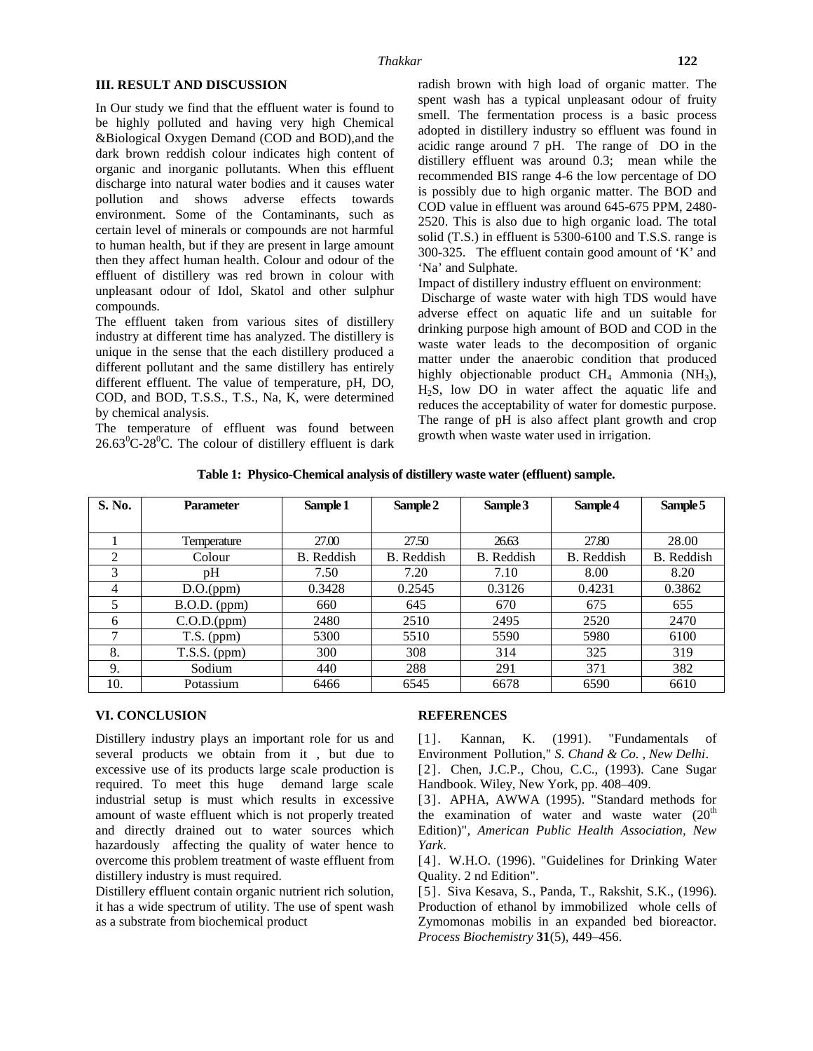#### **III. RESULT AND DISCUSSION**

In Our study we find that the effluent water is found to be highly polluted and having very high Chemical &Biological Oxygen Demand (COD and BOD),and the dark brown reddish colour indicates high content of organic and inorganic pollutants. When this effluent discharge into natural water bodies and it causes water pollution and shows adverse effects towards environment. Some of the Contaminants, such as certain level of minerals or compounds are not harmful to human health, but if they are present in large amount then they affect human health. Colour and odour of the effluent of distillery was red brown in colour with unpleasant odour of Idol, Skatol and other sulphur compounds.

The effluent taken from various sites of distillery industry at different time has analyzed. The distillery is unique in the sense that the each distillery produced a different pollutant and the same distillery has entirely different effluent. The value of temperature, pH, DO, COD, and BOD, T.S.S., T.S., Na, K, were determined by chemical analysis.

The temperature of effluent was found between  $26.63^{\circ}$ C-28<sup>°</sup>C. The colour of distillery effluent is dark  $8^{\text{ITOW}}$ 

radish brown with high load of organic matter. The spent wash has a typical unpleasant odour of fruity smell. The fermentation process is a basic process adopted in distillery industry so effluent was found in acidic range around 7 pH. The range of DO in the distillery effluent was around 0.3; mean while the recommended BIS range 4-6 the low percentage of DO is possibly due to high organic matter. The BOD and COD value in effluent was around 645-675 PPM, 2480- 2520. This is also due to high organic load. The total solid (T.S.) in effluent is 5300-6100 and T.S.S. range is

Impact of distillery industry effluent on environment:

'Na' and Sulphate.

300-325. The effluent contain good amount of 'K' and

Discharge of waste water with high TDS would have adverse effect on aquatic life and un suitable for drinking purpose high amount of BOD and COD in the waste water leads to the decomposition of organic matter under the anaerobic condition that produced highly objectionable product  $CH<sub>4</sub>$  Ammonia (NH<sub>3</sub>), H2S, low DO in water affect the aquatic life and reduces the acceptability of water for domestic purpose. The range of pH is also affect plant growth and crop growth when waste water used in irrigation.

**Table 1: Physico-Chemical analysis of distillery waste water (effluent) sample.**

| S. No. | <b>Parameter</b> | Sample 1          | Sample 2   | Sample 3   | Sample 4   | Sample 5   |
|--------|------------------|-------------------|------------|------------|------------|------------|
|        |                  |                   |            |            |            |            |
|        | Temperature      | 27.00             | 27.50      | 26.63      | 27.80      | 28.00      |
| 2      | Colour           | <b>B.</b> Reddish | B. Reddish | B. Reddish | B. Reddish | B. Reddish |
| 3      | pΗ               | 7.50              | 7.20       | 7.10       | 8.00       | 8.20       |
| 4      | D.O.(ppm)        | 0.3428            | 0.2545     | 0.3126     | 0.4231     | 0.3862     |
|        | $B.O.D.$ (ppm)   | 660               | 645        | 670        | 675        | 655        |
| 6      | C.O.D.(ppm)      | 2480              | 2510       | 2495       | 2520       | 2470       |
|        | $T.S.$ (ppm)     | 5300              | 5510       | 5590       | 5980       | 6100       |
| 8.     | $T.S.S.$ (ppm)   | 300               | 308        | 314        | 325        | 319        |
| 9.     | Sodium           | 440               | 288        | 291        | 371        | 382        |
| 10.    | Potassium        | 6466              | 6545       | 6678       | 6590       | 6610       |

## **VI. CONCLUSION**

Distillery industry plays an important role for us and [1]. several products we obtain from it , but due to excessive use of its products large scale production is required. To meet this huge demand large scale industrial setup is must which results in excessive amount of waste effluent which is not properly treated and directly drained out to water sources which hazardously affecting the quality of water hence to overcome this problem treatment of waste effluent from distillery industry is must required.

Distillery effluent contain organic nutrient rich solution, it has a wide spectrum of utility. The use of spent wash as a substrate from biochemical product

## **REFERENCES**

Kannan, K. (1991). "Fundamentals of Environment Pollution," *S. Chand & Co. , New Delhi*.

[2]. Chen, J.C.P., Chou, C.C., (1993). Cane Sugar Handbook. Wiley, New York, pp. 408–409.

[3]. APHA, AWWA (1995)."Standard methods for the examination of water and waste water  $(20<sup>th</sup>)$ Edition)"*, American Public Health Association, New Yark*.

[4]. W.H.O. (1996). "Guidelines for Drinking Water Quality. 2 nd Edition".

[5]. Siva Kesava, S., Panda, T., Rakshit, S.K., (1996). Production of ethanol by immobilized whole cells of Zymomonas mobilis in an expanded bed bioreactor. *Process Biochemistry* **31**(5), 449–456.